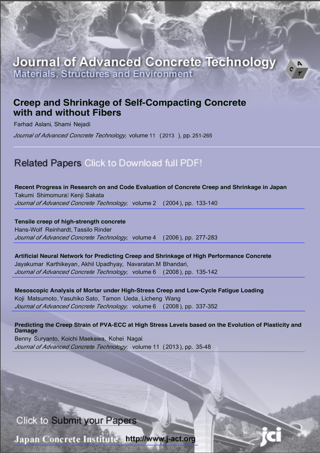# **Journal of Advanced Concrete Technology Materials, Structures and Environr**

# **Creep and Shrinkage of Self-Compacting Concrete with and without Fibers**

Farhad Aslani, Shami Nejadi

*Journal of Advanced Concrete Technology, volume 11 (2013), pp. 251-265* 

# Related Papers Click to Download full PDF!

**[Recent Progress in Research on and Code Evaluation of Concrete Creep and Shrinkage in Japan](https://www.jstage.jst.go.jp/article/jact/2/2/2_2_133/_pdf)** Takumi ShimomuraÊKenji Sakata *Journal of Advanced Concrete Technology, volume 2 (2004), pp. 133-140* 

**[Tensile creep of high-strength concrete](https://www.jstage.jst.go.jp/article/jact/4/2/4_2_277/_pdf)** Hans-Wolf Reinhardt, Tassilo Rinder *Journal of Advanced Concrete Technology, volume 4 (2006), pp. 277-283* 

**[Artificial Neural Network for Predicting Creep and Shrinkage of High Performance Concrete](https://www.jstage.jst.go.jp/article/jact/6/1/6_1_135/_pdf)** Jayakumar Karthikeyan, Akhil Upadhyay, Navaratan.M Bhandari, *Journal of Advanced Concrete Technology, volume 6 (2008), pp. 135-142* 

**[Mesoscopic Analysis of Mortar under High-Stress Creep and Low-Cycle Fatigue Loading](https://www.jstage.jst.go.jp/article/jact/6/2/6_2_337/_pdf)** Koji Matsumoto, Yasuhiko Sato, Tamon Ueda, Licheng Wang *Journal of Advanced Concrete Technology, volume 6 (2008), pp. 337-352* 

**[Predicting the Creep Strain of PVA-ECC at High Stress Levels based on the Evolution of Plasticity and](https://www.jstage.jst.go.jp/article/jact/11/2/11_35/_pdf) Damage** Benny Suryanto, Koichi Maekawa, Kohei Nagai

*Journal of Advanced Concrete Technology, volume 11 (2013), pp. 35-48* 

# Click to Submit your Papers

Japan Concrete Institute http://www.j-act.org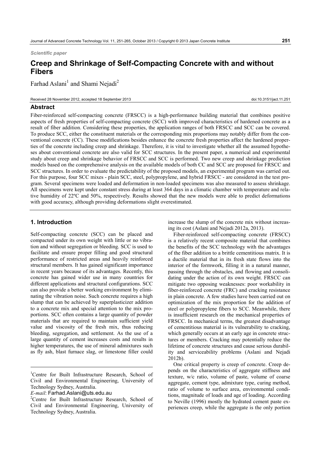*Scientific paper* 

# **Creep and Shrinkage of Self-Compacting Concrete with and without Fibers**

Farhad Aslani<sup>1</sup> and Shami Nejadi<sup>2</sup>

Received 28 November 2012, accepted 18 September 2013 doi:10.3151/jact.11.251

#### **Abstract**

Fiber-reinforced self-compacting concrete (FRSCC) is a high-performance building material that combines positive aspects of fresh properties of self-compacting concrete (SCC) with improved characteristics of hardened concrete as a result of fiber addition. Considering these properties, the application ranges of both FRSCC and SCC can be covered. To produce SCC, either the constituent materials or the corresponding mix proportions may notably differ from the conventional concrete (CC). These modifications besides enhance the concrete fresh properties affect the hardened properties of the concrete including creep and shrinkage. Therefore, it is vital to investigate whether all the assumed hypotheses about conventional concrete are also valid for SCC structures. In the present paper, a numerical and experimental study about creep and shrinkage behavior of FRSCC and SCC is performed. Two new creep and shrinkage prediction models based on the comprehensive analysis on the available models of both CC and SCC are proposed for FRSCC and SCC structures. In order to evaluate the predictability of the proposed models, an experimental program was carried out. For this purpose, four SCC mixes - plain SCC, steel, polypropylene, and hybrid FRSCC - are considered in the test program. Several specimens were loaded and deformation in non-loaded specimens was also measured to assess shrinkage. All specimens were kept under constant stress during at least 364 days in a climatic chamber with temperature and relative humidity of 22ºC and 50%, respectively. Results showed that the new models were able to predict deformations with good accuracy, although providing deformations slight overestimated.

# **1. Introduction**

Self-compacting concrete (SCC) can be placed and compacted under its own weight with little or no vibration and without segregation or bleeding. SCC is used to facilitate and ensure proper filling and good structural performance of restricted areas and heavily reinforced structural members. It has gained significant importance in recent years because of its advantages. Recently, this concrete has gained wider use in many countries for different applications and structural configurations. SCC can also provide a better working environment by eliminating the vibration noise. Such concrete requires a high slump that can be achieved by superplasticizer addition to a concrete mix and special attention to the mix proportions. SCC often contains a large quantity of powder materials that are required to maintain sufficient yield value and viscosity of the fresh mix, thus reducing bleeding, segregation, and settlement. As the use of a large quantity of cement increases costs and results in higher temperatures, the use of mineral admixtures such as fly ash, blast furnace slag, or limestone filler could increase the slump of the concrete mix without increasing its cost (Aslani and Nejadi 2012a, 2013).

Fiber-reinforced self-compacting concrete (FRSCC) is a relatively recent composite material that combines the benefits of the SCC technology with the advantages of the fiber addition to a brittle cementitious matrix. It is a ductile material that in its fresh state flows into the interior of the formwork, filling it in a natural manner, passing through the obstacles, and flowing and consolidating under the action of its own weight. FRSCC can mitigate two opposing weaknesses: poor workability in fiber-reinforced concrete (FRC) and cracking resistance in plain concrete. A few studies have been carried out on optimization of the mix proportion for the addition of steel or polypropylene fibers to SCC. Meanwhile, there is insufficient research on the mechanical properties of FRSCC. In mechanical terms, the greatest disadvantage of cementitious material is its vulnerability to cracking, which generally occurs at an early age in concrete structures or members. Cracking may potentially reduce the lifetime of concrete structures and cause serious durability and serviceability problems (Aslani and Nejadi 2012b).

One critical property is creep of concrete. Creep depends on the characteristics of aggregate stiffness and texture, w/c ratio, volume of paste, volume of coarse aggregate, cement type, admixture type, curing method, ratio of volume to surface area, environmental conditions, magnitude of loads and age of loading. According to Neville (1996) mostly the hydrated cement paste experiences creep, while the aggregate is the only portion

<sup>&</sup>lt;sup>1</sup>Centre for Built Infrastructure Research, School of Civil and Environmental Engineering, University of Technology Sydney, Australia.

*E-mail*: Farhad.Aslani@uts.edu.au <sup>2</sup>

<sup>&</sup>lt;sup>2</sup>Centre for Built Infrastructure Research, School of Civil and Environmental Engineering, University of Technology Sydney, Australia.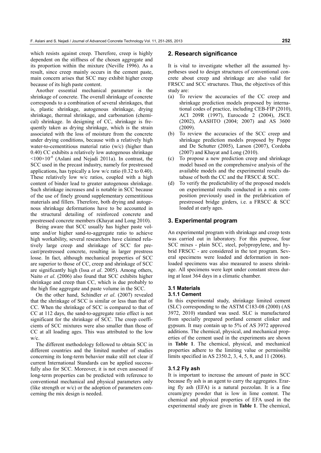which resists against creep. Therefore, creep is highly dependent on the stiffness of the chosen aggregate and its proportion within the mixture (Neville 1996). As a result, since creep mainly occurs in the cement paste, main concern arises that SCC may exhibit higher creep because of its high paste content.

Another essential mechanical parameter is the shrinkage of concrete. The overall shrinkage of concrete corresponds to a combination of several shrinkages, that is, plastic shrinkage, autogenous shrinkage, drying shrinkage, thermal shrinkage, and carbonation (chemical) shrinkage. In designing of CC, shrinkage is frequently taken as drying shrinkage, which is the strain associated with the loss of moisture from the concrete under drying conditions, because with a relatively high water-to-cementitious material ratio (w/c) (higher than 0.40) CC exhibits a relatively low autogenous shrinkage  $\leq 100 \times 10^{-6}$  (Aslani and Nejadi 2011a). In contrast, the SCC used in the precast industry, namely for prestressed applications, has typically a low w/c ratio (0.32 to 0.40). These relatively low w/c ratios, coupled with a high content of binder lead to greater autogenous shrinkage. Such shrinkage increases and is notable in SCC because of the use of finely ground supplementary cementitious materials and fillers. Therefore, both drying and autogenous shrinkage deformations have to be accounted in the structural detailing of reinforced concrete and prestressed concrete members (Khayat and Long 2010).

Being aware that SCC usually has higher paste volume and/or higher sand-to-aggregate ratio to achieve high workability, several researchers have claimed relatively large creep and shrinkage of SCC for precast/prestressed concrete, resulting in larger prestress losse. In fact, although mechanical properties of SCC are superior to those of CC, creep and shrinkage of SCC are significantly high (Issa *et al*. 2005). Among others, Naito *et al*. (2006) also found that SCC exhibits higher shrinkage and creep than CC, which is due probably to the high fine aggregate and paste volume in the SCC.

On the other hand, Schindler *et al*. (2007) revealed that the shrinkage of SCC is similar or less than that of CC. When the shrinkage of SCC is compared to that of CC at 112 days, the sand-to-aggregate ratio effect is not significant for the shrinkage of SCC. The creep coefficients of SCC mixtures were also smaller than those of CC at all loading ages. This was attributed to the low w/c.

The different methodology followed to obtain SCC in different countries and the limited number of studies concerning its long-term behavior make still not clear if current International Standards can be applied successfully also for SCC. Moreover, it is not even assessed if long-term properties can be predicted with reference to conventional mechanical and physical parameters only (like strength or w/c) or the adoption of parameters concerning the mix design is needed.

#### **2. Research significance**

It is vital to investigate whether all the assumed hypotheses used to design structures of conventional concrete about creep and shrinkage are also valid for FRSCC and SCC structures. Thus, the objectives of this study are:

- (a) To review the accuracies of the CC creep and shrinkage prediction models proposed by international codes of practice, including CEB-FIP (2010), ACI 209R (1997), Eurocode 2 (2004), JSCE (2002), AASHTO (2004; 2007) and AS 3600 (2009).
- (b) To review the accuracies of the SCC creep and shrinkage prediction models proposed by Poppe and De Schutter (2005), Larson (2007), Cordoba (2007) and Khayat and Long (2010).
- (c) To propose a new prediction creep and shrinkage model based on the comprehensive analysis of the available models and the experimental results database of both the CC and the FRSCC & SCC.
- (d) To verify the predictability of the proposed models on experimental results conducted in a mix composition previously used in the prefabrication of prestressed bridge girders, i.e. a FRSCC & SCC loaded at early ages.

## **3. Experimental program**

An experimental program with shrinkage and creep tests was carried out in laboratory. For this purpose, four SCC mixes - plain SCC, steel, polypropylene, and hybrid FRSCC - are considered in the test program. Several specimens were loaded and deformation in nonloaded specimens was also measured to assess shrinkage. All specimens were kept under constant stress during at least 364 days in a climatic chamber.

# **3.1 Materials**

# **3.1.1 Cement**

In this experimental study, shrinkage limited cement (SLC) corresponding to the ASTM C183-08 (2000) (AS 3972, 2010) standard was used. SLC is manufactured from specially prepared portland cement clinker and gypsum. It may contain up to 5% of AS 3972 approved additions. The chemical, physical, and mechanical properties of the cement used in the experiments are shown in **Table 1**. The chemical, physical, and mechanical properties adhere to the limiting value or permissible limits specified in AS 2350.2, 3, 4, 5, 8, and 11 (2006).

#### **3.1.2 Fly ash**

It is important to increase the amount of paste in SCC because fly ash is an agent to carry the aggregates. Eraring fly ash (EFA) is a natural pozzolan. It is a fine cream/grey powder that is low in lime content. The chemical and physical properties of EFA used in the experimental study are given in **Table 1**. The chemical,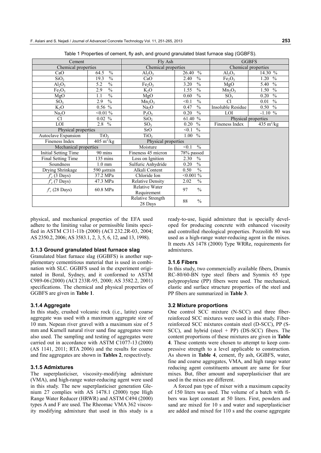| Cement                         |                             | Fly Ash                            |                        | <b>GGBFS</b>                   |                        |  |
|--------------------------------|-----------------------------|------------------------------------|------------------------|--------------------------------|------------------------|--|
| Chemical properties            |                             | Chemical properties                |                        |                                | Chemical properties    |  |
| CaO                            | $\frac{0}{0}$<br>64.5       | Al <sub>2</sub> O <sub>3</sub>     | $\frac{0}{0}$<br>26.40 | $Al_2O_3$                      | 14.30 %                |  |
| SiO <sub>2</sub>               | $\frac{0}{0}$<br>19.3       | CaO                                | $\frac{0}{0}$<br>2.40  | Fe <sub>2</sub> O <sub>3</sub> | $\frac{0}{0}$<br>1.20  |  |
| $Al_2O_3$                      | $\frac{0}{0}$<br>5.2        | Fe <sub>2</sub> O <sub>3</sub>     | $\frac{0}{0}$<br>3.20  | MgO                            | $\frac{0}{0}$<br>5.40  |  |
| Fe <sub>2</sub> O <sub>3</sub> | $\frac{0}{0}$<br>2.9        | $K_2O$                             | $\frac{0}{0}$<br>1.55  | $Mn_2O_3$                      | $\frac{0}{0}$<br>1.50  |  |
| MgO                            | $\frac{0}{0}$<br>1.1        | MgO                                | $\frac{0}{0}$<br>0.60  | SO <sub>3</sub>                | $\frac{0}{0}$<br>0.20  |  |
| SO <sub>3</sub>                | $\frac{0}{0}$<br>2.9        | $Mn_2O_3$                          | $\frac{0}{0}$<br>< 0.1 | C1                             | $\frac{0}{0}$<br>0.01  |  |
| $K_2O$                         | $0.56\sqrt{6}$              | Na <sub>2</sub> O                  | $\frac{0}{0}$<br>0.47  | <b>Insoluble Residue</b>       | $\frac{0}{0}$<br>0.50  |  |
| Na <sub>2</sub> O              | $< 0.01 \%$                 | $P_2O_5$                           | $\frac{0}{0}$<br>0.20  | LOI                            | $-1.10 \%$             |  |
| C1                             | $0.02\%$                    | SiO <sub>2</sub>                   | $\frac{0}{0}$<br>61.40 |                                | Physical properties    |  |
| LOI                            | $\frac{0}{0}$<br>2.8        | SO <sub>3</sub>                    | 0.20<br>$\frac{0}{0}$  | Fineness Index                 | 435 m <sup>2</sup> /kg |  |
| Physical properties            |                             | SrO                                | < 0.1<br>$\frac{0}{0}$ |                                |                        |  |
| Autoclave Expansion            | TiO <sub>2</sub>            | TiO <sub>2</sub>                   | $\frac{0}{0}$<br>1.00  |                                |                        |  |
| Fineness Index                 | $405 \text{ m}^2/\text{kg}$ | Physical properties                |                        |                                |                        |  |
| Mechanical properties          |                             | $\frac{0}{0}$<br>Moisture<br>< 0.1 |                        |                                |                        |  |
| Initial Setting Time           | 90 mins                     | Fineness 45 micron                 | 78% passed             |                                |                        |  |
| Final Setting Time             | 135 mins                    | Loss on Ignition                   | $\frac{0}{0}$<br>2.30  |                                |                        |  |
| Soundness                      | $1.0 \text{ mm}$            | Sulfuric Anhydride                 | $\frac{0}{0}$<br>0.20  |                                |                        |  |
| Drying Shrinkage               | 590 µstrain                 | Alkali Content                     | $\frac{0}{0}$<br>0.50  |                                |                        |  |
| $f_c$ (3 Days)                 | 37.2 MPa                    | Chloride Ion                       | $< 0.001 \%$           |                                |                        |  |
| $f_c$ (7 Days)                 | 47.3 MPa                    | <b>Relative Density</b>            | $\frac{0}{0}$<br>2.02  |                                |                        |  |
| $f_c$ (28 Days)                | 60.8 MPa                    | <b>Relative Water</b>              | $\frac{0}{0}$<br>97    |                                |                        |  |
|                                |                             | Requirement                        |                        |                                |                        |  |
|                                |                             | Relative Strength                  | 88<br>$\frac{0}{0}$    |                                |                        |  |
|                                |                             | 28 Days                            |                        |                                |                        |  |

Table 1 Properties of cement, fly ash, and ground granulated blast furnace slag (GGBFS).

physical, and mechanical properties of the EFA used adhere to the limiting value or permissible limits specified in ASTM C311-11b (2000) (ACI 232.2R-03, 2004; AS 2350.2, 2006; AS 3583.1, 2, 3, 5, 6, 12, and 13, 1998).

#### **3.1.3 Ground granulated blast furnace slag**

Granulated blast furnace slag (GGBFS) is another supplementary cementitious material that is used in combination with SLC. GGBFS used in the experiment originated in Boral, Sydney, and it conformed to ASTM C989-06 (2000) (ACI 233R-95, 2000; AS 3582.2, 2001) specifications. The chemical and physical properties of GGBFS are given in **Table 1**.

#### **3.1.4 Aggregate**

In this study, crushed volcanic rock (i.e., latite) coarse aggregate was used with a maximum aggregate size of 10 mm. Nepean river gravel with a maximum size of 5 mm and Kurnell natural river sand fine aggregates were also used. The sampling and testing of aggregates were carried out in accordance with ASTM C1077-13 (2000) (AS 1141, 2011; RTA 2006) and the results for coarse and fine aggregates are shown in **Tables 2**, respectively.

## **3.1.5 Admixtures**

The superplasticiser, viscosity-modifying admixture (VMA), and high-range water-reducing agent were used in this study. The new superplasticiser generation Glenium 27 complies with AS 1478.1 (2000) type High Range Water Reducer (HRWR) and ASTM C494 (2000) types A and F are used. The Rheomac VMA 362 viscosity modifying admixture that used in this study is a

ready-to-use, liquid admixture that is specially developed for producing concrete with enhanced viscosity and controlled rheological properties. Pozzolith 80 was used as a high-range water-reducing agent in the mixes. It meets AS 1478 (2000) Type WRRe, requirements for admixtures.

#### **3.1.6 Fibers**

In this study, two commercially available fibers, Dramix RC-80/60-BN type steel fibers and Synmix 65 type polypropylene (PP) fibers were used. The mechanical, elastic and surface structure properties of the steel and PP fibers are summarized in **Table 3**.

#### **3.2 Mixture proportions**

One control SCC mixture (N-SCC) and three fiberreinforced SCC mixtures were used in this study. Fiberreinforced SCC mixtures contain steel (D-SCC), PP (S-SCC), and hybrid (steel + PP) (DS-SCC) fibers. The content proportions of these mixtures are given in **Table 4**. These contents were chosen to attempt to keep compressive strength to a level applicable to construction. As shown in **Table 4**, cement, fly ash, GGBFS, water, fine and coarse aggregates, VMA, and high range water reducing agent constituents amount are same for four mixes. But, fiber amount and superplasticiser that are used in the mixes are different.

A forced pan type of mixer with a maximum capacity of 150 liters was used. The volume of a batch with fibers was kept constant at 50 liters. First, powders and sand are mixed for 10 s and water and superplasticiser are added and mixed for 110 s and the coarse aggregate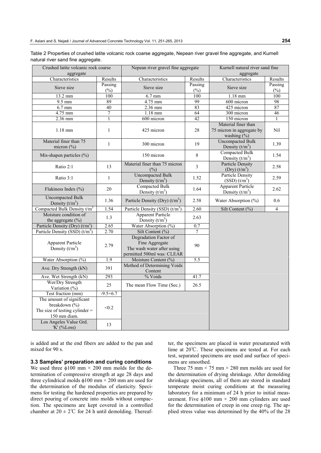| Table 2 Properties of crushed latite volcanic rock coarse aggregate, Nepean river gravel fine aggregate, and Kurnell |  |  |
|----------------------------------------------------------------------------------------------------------------------|--|--|
| natural river sand fine aggregate.                                                                                   |  |  |

| Crushed latite volcanic rock coarse<br>aggregate                                               |              | Nepean river gravel fine aggregate                                                                  |                | Kurnell natural river sand fine<br>aggregate                        |                |
|------------------------------------------------------------------------------------------------|--------------|-----------------------------------------------------------------------------------------------------|----------------|---------------------------------------------------------------------|----------------|
| Characteristics                                                                                | Results      | Characteristics                                                                                     | Results        | Characteristics                                                     | Results        |
|                                                                                                | Passing      |                                                                                                     | Passing        |                                                                     | Passing        |
| Sieve size                                                                                     | $(\%)$       | Sieve size                                                                                          | (%)            | Sieve size                                                          | $(\%)$         |
| 13.2 mm                                                                                        | 100          | $6.7$ mm                                                                                            | 100            | $1.18$ mm                                                           | 100            |
| $9.5$ mm                                                                                       | 89           | 4.75 mm                                                                                             | 99             | 600 micron                                                          | 98             |
| 6.7 mm                                                                                         | 40           | 2.36 mm                                                                                             | 83             | 425 micron                                                          | 87             |
| 4.75 mm                                                                                        | $\tau$       | $1.18$ mm                                                                                           | 64             | 300 micron                                                          | 46             |
| 2.36 mm                                                                                        | $\mathbf{1}$ | 600 micron                                                                                          | 42             | 150 micron                                                          | $\mathbf{1}$   |
| $1.18$ mm                                                                                      | $\mathbf{1}$ | 425 micron                                                                                          | 28             | Material finer than<br>75 micron in aggregate by<br>washing $(\% )$ | Nil            |
| Material finer than 75<br>micron $(\% )$                                                       | $\mathbf{1}$ | 300 micron                                                                                          | 19             | <b>Uncompacted Bulk</b><br>Density $(t/m^3)$                        | 1.39           |
| Mis-shapen particles $(\% )$                                                                   |              | 150 micron                                                                                          | $\,8\,$        | Compacted Bulk<br>Density $(t/m^3)$                                 | 1.54           |
| Ratio 2:1                                                                                      | 13           | Material finer than 75 micron<br>(%)                                                                | 3              | <b>Particle Density</b><br>$(Dry)$ $(t/m^3)$                        | 2.58           |
| Ratio 3:1                                                                                      | $\mathbf{1}$ | <b>Uncompacted Bulk</b><br>Density $(t/m^3)$                                                        | 1.52           | <b>Particle Density</b><br>$(SSD)$ $(t/m3)$                         | 2.59           |
| Flakiness Index (%)                                                                            | 20           | <b>Compacted Bulk</b><br>Density $(t/m^3)$                                                          | 1.64           | <b>Apparent Particle</b><br>Density $(t/m^3)$                       | 2.62           |
| <b>Uncompacted Bulk</b><br>Density $(t/m^3)$                                                   | 1.36         | Particle Density (Dry) $(t/m3)$                                                                     | 2.58           | Water Absorption $(\% )$                                            | 0.6            |
| Compacted Bulk Density $t/m^3$                                                                 | 1.54         | Particle Density (SSD) $(t/m3)$                                                                     | 2.60           | Silt Content (%)                                                    | $\overline{4}$ |
| Moisture condition of                                                                          | 1.3          | <b>Apparent Particle</b>                                                                            | 2.63           |                                                                     |                |
| the aggregate $(\% )$                                                                          |              | Density $(t/m^3)$                                                                                   |                |                                                                     |                |
| Particle Density (Dry) $(t/m3)$                                                                | 2.65         | Water Absorption (%)                                                                                | 0.7            |                                                                     |                |
| Particle Density (SSD) $(t/m^3)$                                                               | 2.70         | Silt Content (%)                                                                                    | $\overline{7}$ |                                                                     |                |
| <b>Apparent Particle</b><br>Density $(t/m^3)$                                                  | 2.79         | Degradation Factor of<br>Fine Aggregate<br>The wash water after using<br>permitted 500ml was: CLEAR | 90             |                                                                     |                |
| Water Absorption (%)                                                                           | 1.9          | Moisture Content (%)                                                                                | 5.5            |                                                                     |                |
| Ave. Dry Strength (kN)                                                                         | 391          | Method of Determining Voids<br>Content                                                              |                |                                                                     |                |
| Ave. Wet Strength (kN)                                                                         | 293          | % Voids                                                                                             | 41.7           |                                                                     |                |
| Wet/Dry Strength<br>Variation $(\%)$                                                           | 25           | The mean Flow Time (Sec.)                                                                           | 26.5           |                                                                     |                |
| Test fraction (mm)                                                                             | $-9.5 + 6.7$ |                                                                                                     |                |                                                                     |                |
| The amount of significant<br>breakdown (%)<br>The size of testing cylinder $=$<br>150 mm diam. | < 0.2        |                                                                                                     |                |                                                                     |                |
| Los Angeles Value Grd.<br>'K' (%Loss)                                                          | 13           |                                                                                                     |                |                                                                     |                |

is added and at the end fibers are added to the pan and mixed for 90 s.

## **3.3 Samples' preparation and curing conditions**

We used three  $\phi$ 100 mm  $\times$  200 mm molds for the determination of compressive strength at age 28 days and three cylindrical molds  $\phi$ 100 mm  $\times$  200 mm are used for the determination of the modulus of elasticity. Specimens for testing the hardened properties are prepared by direct pouring of concrete into molds without compaction. The specimens are kept covered in a controlled chamber at  $20 \pm 2^{\circ}$  for 24 h until demolding. Thereafter, the specimens are placed in water presaturated with lime at 20℃. These specimens are tested at. For each test, separated specimens are used and surface of specimens are smoothed.

Three 75 mm  $\times$  75 mm  $\times$  280 mm molds are used for the determination of drying shrinkage. After demolding shrinkage specimens, all of them are stored in standard temperate moist curing conditions at the measuring laboratory for a minimum of 24 h prior to initial measurement. Five  $\phi$ 100 mm × 200 mm cylinders are used for the determination of creep in one creep rig. The applied stress value was determined by the 40% of the 28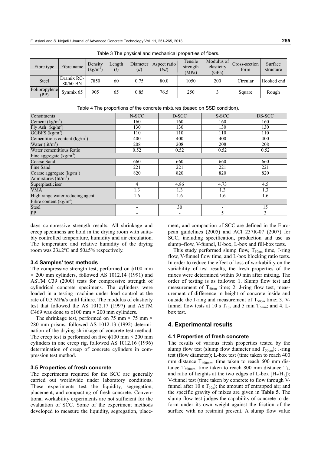| Fibre type            | Fibre name             | Density<br>$(kg/m^3)$ | Length<br>(l) | Diameter<br>(d) | Aspect ratio<br>(l/d) | Tensile<br>strength<br>(MPa) | Modulus of<br>elasticity<br>(GPa) | Cross-section<br>form | Surface<br>structure |
|-----------------------|------------------------|-----------------------|---------------|-----------------|-----------------------|------------------------------|-----------------------------------|-----------------------|----------------------|
| <b>Steel</b>          | Dramix RC-<br>80/60-BN | 7850                  | 60            | 0.75            | 80.0                  | 1050                         | 200                               | Circular              | Hooked end           |
| Polipropylene<br>(PP) | Synmix 65              | 905                   | 65            | 0.85            | 76.5                  | 250                          |                                   | Square                | Rough                |

Table 4 The proportions of the concrete mixtures (based on SSD condition).

Table 3 The physical and mechanical properties of fibers.

| N-SCC | D-SCC | S-SCC | DS-SCC |
|-------|-------|-------|--------|
| 160   | 160   | 160   | 160    |
| 130   | 130   | 130   | 130    |
| 110   | 110   | 110   | 110    |
| 400   | 400   | 400   | 400    |
| 208   | 208   | 208   | 208    |
| 0.52  | 0.52  | 0.52  | 0.52   |
|       |       |       |        |
| 660   | 660   | 660   | 660    |
| 221   | 221   | 221   | 221    |
| 820   | 820   | 820   | 820    |
|       |       |       |        |
| 4     | 4.86  | 4.73  | 4.5    |
| 1.3   | 1.3   | 1.3   | 1.3    |
| 1.6   | 1.6   | 1.6   | 1.6    |
|       |       |       |        |
|       | 30    |       | 15     |
|       |       | 5     | 3      |
|       |       |       |        |

days compressive strength results. All shrinkage and creep specimens are hold in the drying room with suitably controlled temperature, humidity and air circulation. The temperature and relative humidity of the drying room was 23±2ºC and 50±5% respectively.

#### **3.4 Samples' test methods**

The compressive strength test, performed on  $\phi$ 100 mm  $\times$  200 mm cylinders, followed AS 1012.14 (1991) and ASTM C39 (2000) tests for compressive strength of cylindrical concrete specimens. The cylinders were loaded in a testing machine under load control at the rate of 0.3 MPa/s until failure. The modulus of elasticity test that followed the AS 1012.17 (1997) and ASTM C469 was done to  $\phi$ 100 mm × 200 mm cylinders.

The shrinkage test, performed on 75 mm  $\times$  75 mm  $\times$ 280 mm prisms, followed AS 1012.13 (1992) determination of the drying shrinkage of concrete test method. The creep test is performed on five  $\phi$ 100 mm  $\times$  200 mm cylinders in one creep rig, followed AS 1012.16 (1996) determination of creep of concrete cylinders in compression test method.

#### **3.5 Properties of fresh concrete**

The experiments required for the SCC are generally carried out worldwide under laboratory conditions. These experiments test the liquidity, segregation, placement, and compacting of fresh concrete. Conventional workability experiments are not sufficient for the evaluation of SCC. Some of the experiment methods developed to measure the liquidity, segregation, placement, and compaction of SCC are defined in the European guidelines (2005) and ACI 237R-07 (2007) for SCC, including specification, production and use as slump–flow, V-funnel, U-box, L-box and fill-box tests.

This study performed slump flow,  $T_{50cm}$  time, J-ring flow, V-funnel flow time, and L-box blocking ratio tests. In order to reduce the effect of loss of workability on the variability of test results, the fresh properties of the mixes were determined within 30 min after mixing. The order of testing is as follows: 1. Slump flow test and measurement of  $T_{50cm}$  time; 2. J-ring flow test, measurement of difference in height of concrete inside and outside the J-ring and measurement of  $T_{50cm}$  time; 3. Vfunnel flow tests at 10 s  $T_{10s}$  and 5 min  $T_{5min}$ ; and 4. Lbox test.

#### **4. Experimental results**

#### **4.1 Properties of fresh concrete**

The results of various fresh properties tested by the slump flow test (slump flow diameter and  $T_{50cm}$ ); J-ring test (flow diameter); L-box test (time taken to reach 400 mm distance  $T_{400mm}$ , time taken to reach 600 mm distance  $T_{600mm}$ , time taken to reach 800 mm distance  $T_{L}$ , and ratio of heights at the two edges of L-box  $[H_2/H_1]$ ; V-funnel test (time taken by concrete to flow through Vfunnel after 10 s  $T_{10s}$ ); the amount of entrapped air; and the specific gravity of mixes are given in **Table 5**. The slump flow test judges the capability of concrete to deform under its own weight against the friction of the surface with no restraint present. A slump flow value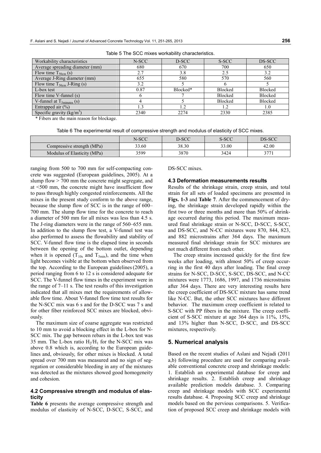| Workability characteristics           | N-SCC | D-SCC    | S-SCC          | DS-SCC         |
|---------------------------------------|-------|----------|----------------|----------------|
| Average spreading diameter (mm)       | 680   | 670      | 700            | 650            |
| Flow time $T_{50cm}$ (s)              | 2.7   | 3.8      | 2.5            | 3.2            |
| Average J-Ring diameter (mm)          | 655   | 580      | 570            | 560            |
| Flow time $T_{50cm}$ J-Ring (s)       | 3.2   |          |                |                |
| L-box test                            | 0.87  | Blocked* | <b>Blocked</b> | <b>Blocked</b> |
| Flow time V-funnel (s)                |       |          | <b>Blocked</b> | Blocked        |
| V-funnel at $T_{5\text{minutes}}$ (s) |       |          | Blocked        | Blocked        |
| Entrapped air $(\% )$                 |       | 1.2      | 1.2            | 1.0            |
| Specific gravity $(kg/m3)$            | 2340  | 2274     | 2330           | 2385           |

Table 5 The SCC mixes workability characteristics.

\* Fibers are the main reason for blockage.

Table 6 The experimental result of compressive strength and modulus of elasticity of SCC mixes.

|                             | N-SCC | D-SCC | S-SCC | DS-SCC |
|-----------------------------|-------|-------|-------|--------|
| Compressive strength (MPa)  | 33.60 | 38.30 | 33.00 | 42.00  |
| Modulus of Elasticity (MPa) | 3599  | 3870  | 3424  | 2771   |

ranging from 500 to 700 mm for self-compacting concrete was suggested (European guidelines, 2005). At a slump flow > 700 mm the concrete might segregate, and at <500 mm, the concrete might have insufficient flow to pass through highly congested reinforcements. All the mixes in the present study conform to the above range, because the slump flow of SCC is in the range of 600– 700 mm. The slump flow time for the concrete to reach a diameter of 500 mm for all mixes was less than 4.5 s. The J-ring diameters were in the range of 560–655 mm. In addition to the slump flow test, a V-funnel test was also performed to assess the flowability and stability of SCC. V-funnel flow time is the elapsed time in seconds between the opening of the bottom outlet, depending when it is opened  $(T_{10s}$  and  $T_{5min}$ ), and the time when light becomes visible at the bottom when observed from the top. According to the European guidelines(2005), a period ranging from 6 to 12 s is considered adequate for SCC. The V-funnel flow times in the experiment were in the range of 7–11 s. The test results of this investigation indicated that all mixes met the requirements of allowable flow time. About V-funnel flow time test results for the N-SCC mix was 6 s and for the D-SCC was 7 s and for other fiber reinforced SCC mixes are blocked, obviously.

The maximum size of coarse aggregate was restricted to 10 mm to avoid a blocking effect in the L-box for N-SCC mix. The gap between rebars in the L-box test was 35 mm. The L-box ratio  $H_2/H_1$  for the N-SCC mix was above 0.8 which is, according to the European guidelines and, obviously, for other mixes is blocked. A total spread over 700 mm was measured and no sign of segregation or considerable bleeding in any of the mixtures was detected as the mixtures showed good homogeneity and cohesion.

### **4.2 Compressive strength and modulus of elasticity**

**Table 6** presents the average compressive strength and modulus of elasticity of N-SCC, D-SCC, S-SCC, and DS-SCC mixes.

#### **4.3 Deformation measurements results**

Results of the shrinkage strain, creep strain, and total strain for all sets of loaded specimens are presented in **Figs. 1-3** and **Table 7**. After the commencement of drying, the shrinkage strain developed rapidly within the first two or three months and more than 50% of shrinkage occurred during this period. The maximum measured final shrinkage strain or N-SCC, D-SCC, S-SCC, and DS-SCC, and N-CC mixtures were 870, 844, 823, and 882 microstrains after 364 days. The maximum measured final shrinkage strain for SCC mixtures are not much different from each other.

The creep strains increased quickly for the first few weeks after loading, with almost 50% of creep occurring in the first 40 days after loading. The final creep strains for N-SCC, D-SCC, S-SCC, DS-SCC, and N-CC mixtures were 1773, 1686, 1997, and 1736 microstrains after 364 days. There are very interesting results here the creep coefficient of DS-SCC mixture has same trend like N-CC. But, the other SCC mixtures have different behavior. The maximum creep coefficient is related to S-SCC with PP fibers in the mixture. The creep coefficient of S-SCC mixture at age 364 days is 11%, 15%, and 13% higher than N-SCC, D-SCC, and DS-SCC mixtures, respectively.

#### **5. Numerical analysis**

Based on the recent studies of Aslani and Nejadi (2011 a,b) following procedure are used for comparing available conventional concrete creep and shrinkage models: 1. Establish an experimental database for creep and shrinkage results. 2. Establish creep and shrinkage available prediction models database. 3. Comparing creep and shrinkage models with SCC experimental results database. 4. Proposing SCC creep and shrinkage models based on the pervious comparisons. 5. Verification of proposed SCC creep and shrinkage models with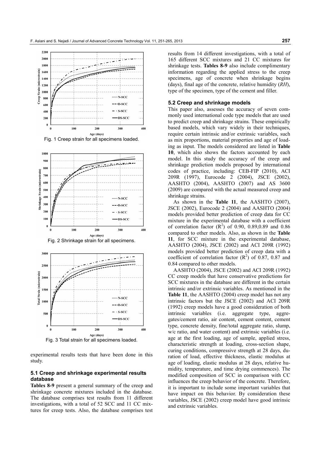

Fig. 1 Creep strain for all specimens loaded.





Fig. 3 Total strain for all specimens loaded.

experimental results tests that have been done in this study.

## **5.1 Creep and shrinkage experimental results database**

**Tables 8-9** present a general summary of the creep and shrinkage concrete mixtures included in the database. The database comprises test results from 11 different investigations, with a total of 52 SCC and 11 CC mixtures for creep tests. Also, the database comprises test results from 14 different investigations, with a total of 165 different SCC mixtures and 21 CC mixtures for shrinkage tests. **Tables 8-9** also include complimentary information regarding the applied stress to the creep specimens, age of concrete when shrinkage begins (days), final age of the concrete, relative humidity (*RH*), type of the specimen, type of the cement and filler.

#### **5.2 Creep and shrinkage models**

This paper also, assesses the accuracy of seven commonly used international code type models that are used to predict creep and shrinkage strains. These empirically based models, which vary widely in their techniques, require certain intrinsic and/or extrinsic variables, such as mix proportions, material properties and age of loading as input. The models considered are listed in **Table 10**, which also shows the factors accounted by each model. In this study the accuracy of the creep and shrinkage prediction models proposed by international codes of practice, including: CEB-FIP (2010), ACI 209R (1997), Eurocode 2 (2004), JSCE (2002), AASHTO (2004), AASHTO (2007) and AS 3600 (2009) are compared with the actual measured creep and shrinkage strains.

As shown in the **Table 11**, the AASHTO (2007), JSCE (2002), Eurocode 2 (2004) and AASHTO (2004) models provided better prediction of creep data for CC mixture in the experimental database with a coefficient of correlation factor  $(R^2)$  of 0.90, 0.89,0.89 and 0.86 compared to other models. Also, as shown in the **Table 11**, for SCC mixture in the experimental database, AASHTO (2004), JSCE (2002) and ACI 209R (1992) models provided better prediction of creep data with a coefficient of correlation factor  $(R^2)$  of 0.87, 0.87 and 0.84 compared to other models.

AASHTO (2004), JSCE (2002) and ACI 209R (1992) CC creep models that have conservative predictions for SCC mixtures in the database are different in the certain intrinsic and/or extrinsic variables. As mentioned in the **Table 11**, the AASHTO (2004) creep model has not any intrinsic factors but the JSCE (2002) and ACI 209R (1992) creep models have a good consideration of both intrinsic variables (i.e. aggregate type, aggregates/cement ratio, air content, cement content, cement type, concrete density, fine/total aggregate ratio, slump, w/c ratio, and water content) and extrinsic variables (i.e. age at the first loading, age of sample, applied stress, characteristic strength at loading, cross-section shape, curing conditions, compressive strength at 28 days, duration of load, effective thickness, elastic modulus at age of loading, elastic modulus at 28 days, relative humidity, temperature, and time drying commences). The modified composition of SCC in comparison with CC influences the creep behavior of the concrete. Therefore, it is important to include some important variables that have impact on this behavior. By consideration these variables, JSCE (2002) creep model have good intrinsic and extrinsic variables.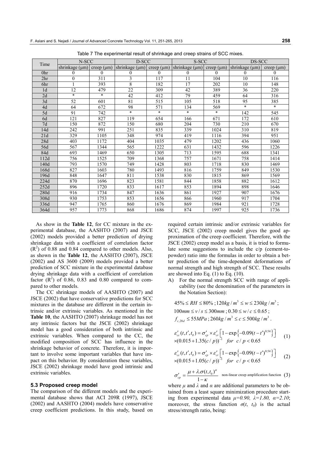| Time            | N-SCC               |            | D-SCC               |            | S-SCC          |            | DS-SCC              |            |
|-----------------|---------------------|------------|---------------------|------------|----------------|------------|---------------------|------------|
|                 | shrinkage $(\mu m)$ | creep (µm) | shrinkage $(\mu m)$ | creep (µm) | shrinkage (µm) | creep (µm) | shrinkage $(\mu m)$ | creep (µm) |
| 0 <sup>hr</sup> | $\mathbf{0}$        | $\theta$   | $\theta$            | 0          | 0              | $\theta$   | 0                   | $\theta$   |
| 2 <sup>hr</sup> | $\mathbf{0}$        | 311        | 3                   | 117        | 11             | 104        | 10                  | 116        |
| 6hr             |                     | 393        | 8                   | 182        | 17             | 202        | 10                  | 148        |
| 1 <sub>d</sub>  | 12                  | 479        | 22                  | 309        | 42             | 389        | 36                  | 220        |
| 2d              | $\ast$              | $\ast$     | 42                  | 412        | 79             | 459        | 64                  | 316        |
| 3d              | 52                  | 601        | 81                  | 515        | 105            | 518        | 95                  | 385        |
| 4d              | 64                  | 672        | 98                  | 571        | 134            | 569        | $\ast$              | $\ast$     |
| 5d              | 91                  | 742        | $\ast$              | $\ast$     | $\ast$         | $\star$    | 142                 | 545        |
| 6d              | 121                 | 827        | 119                 | 654        | 166            | 671        | 172                 | 610        |
| 7d              | 150                 | 872        | 150                 | 680        | 204            | 730        | 210                 | 670        |
| 14d             | 242                 | 991        | 251                 | 835        | 339            | 1024       | 310                 | 819        |
| 21d             | 329                 | 1105       | 348                 | 974        | 419            | 1116       | 394                 | 951        |
| 28d             | 403                 | 1172       | 404                 | 1035       | 479            | 1202       | 436                 | 1060       |
| 56d             | 567                 | 1344       | 565                 | 1222       | 631            | 1432       | 596                 | 1226       |
| 84d             | 693                 | 1469       | 650                 | 1305       | 713            | 1595       | 688                 | 1341       |
| 112d            | 756                 | 1525       | 709                 | 1368       | 757            | 1671       | 758                 | 1414       |
| 140d            | 793                 | 1570       | 749                 | 1428       | 803            | 1718       | 830                 | 1469       |
| 168d            | 827                 | 1603       | 780                 | 1493       | 816            | 1759       | 849                 | 1530       |
| 196d            | 848                 | 1647       | 811                 | 1538       | 830            | 1815       | 869                 | 1569       |
| 224d            | 870                 | 1696       | 823                 | 1581       | 844            | 1858       | 882                 | 1612       |
| 252d            | 896                 | 1720       | 833                 | 1617       | 853            | 1894       | 898                 | 1646       |
| 280d            | 916                 | 1734       | 847                 | 1636       | 861            | 1927       | 907                 | 1676       |
| 308d            | 930                 | 1753       | 853                 | 1656       | 866            | 1960       | 917                 | 1704       |
| 336d            | 947                 | 1765       | 860                 | 1676       | 869            | 1984       | 921                 | 1728       |
| 364d            | 957                 | 1773       | 868                 | 1686       | 874            | 1997       | 925                 | 1736       |

Table 7 The experimental result of shrinkage and creep strains of SCC mixes.

As show in the **Table 12**, for CC mixture in the experimental database, the AASHTO (2007) and JSCE (2002) models provided a better prediction of drying shrinkage data with a coefficient of correlation factor  $(R<sup>2</sup>)$  of 0.88 and 0.84 compared to other models. Also, as shown in the **Table 12**, the AASHTO (2007), JSCE (2002) and AS 3600 (2009) models provided a better prediction of SCC mixture in the experimental database drying shrinkage data with a coefficient of correlation factor  $(R^2)$  of 0.86, 0.83 and 0.80 compared to compared to other models.

The CC shrinkage models of AASHTO (2007) and JSCE (2002) that have conservative predictions for SCC mixtures in the database are different in the certain intrinsic and/or extrinsic variables. As mentioned in the **Table 10**, the AASHTO (2007) shrinkage model has not any intrinsic factors but the JSCE (2002) shrinkage model has a good consideration of both intrinsic and extrinsic variables. When compared to the CC, the modified composition of SCC has influence in the shrinkage behavior of concrete. Therefore, it is important to involve some important variables that have impact on this behavior. By consideration these variables, JSCE (2002) shrinkage model have good intrinsic and extrinsic variables.

### **5.3 Proposed creep model**

The comparison of the different models and the experimental database shows that ACI 209R (1997), JSCE (2002) and AASHTO (2004) models have conservative creep coefficient predictions. In this study, based on required certain intrinsic and/or extrinsic variables for SCC, JSCE (2002) creep model gives the good approximation of the creep coefficient. Therefore, with the JSCE (2002) creep model as a basis, it is tried to formulate some suggestions to include the c/p (cement-topowder) ratio into the formulas in order to obtain a better prediction of the time-dependent deformations of normal strength and high strength of SCC. These results are showed into Eq.  $(1)$  to Eq.  $(10)$ .

A) For the normal strength SCC with range of applicability (see the denomination of the parameters in the Notation Section):

 $45\% \le RH \le 80\%$ ;  $120kg/m^3 \le w \le 230kg/m^3$ ;  $100$  *mm*  $\le v / s \le 300$  *mm*  $: 0.30 \le w / c \le 0.65$ :  $f_{c,28d} \leq 55 MPa$ ;  $260 kg/m^3 \leq c \leq 500 kg/m^3$ .

$$
\varepsilon'_{cc}(t, t', t_0) = \sigma'_{cp} \times \varepsilon'_{cr} \left[ 1 - \exp\left\{-0.09(t - t')^{0.54}\right\} \right]
$$
  
×(0.015 + 1.35(c/p))<sup>-1</sup> for c/p < 0.65 (1)

$$
\varepsilon'_{cc}(t, t', t_0) = \sigma'_{cp} \times \varepsilon'_{cr} \left[ 1 - \exp\left\{-0.09(t - t')^{0.54}\right\} \right]
$$
  
×(0.015 + 1.05(c/p))<sup>-1</sup> for c/p < 0.65 (2)

$$
\sigma'_{cp} = \frac{\mu + \lambda \sigma(t, t_0)^{\alpha}}{1 - \kappa}
$$
 non-linear creep amplification function (3)

where  $\mu$  and  $\lambda$  and  $\alpha$  are additional parameters to be obtained from a least square minimization procedure starting from experimental data  $\mu=0.90$ ,  $\lambda=1.80$ ,  $\alpha=2.10$ ; moreover, the stress function  $\sigma(t, t_0)$  is the actual stress/strength ratio, being: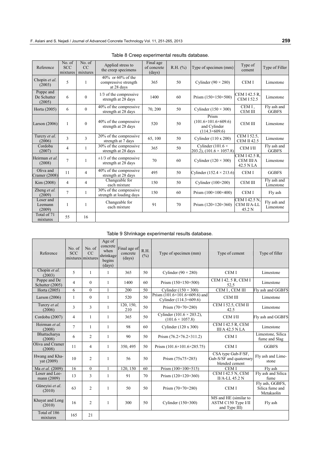| Reference                          | No. of<br><b>SCC</b><br>mixtures | No. of<br>CC<br>mixtures | Applied stress to<br>the creep specimens                   | Final age<br>of concrete<br>(days) | R.H. (%) | Type of specimen (mm)                                                            | Type of<br>cement                             | Type of Filler              |
|------------------------------------|----------------------------------|--------------------------|------------------------------------------------------------|------------------------------------|----------|----------------------------------------------------------------------------------|-----------------------------------------------|-----------------------------|
| Chopin et al.<br>(2003)            | 5                                | $\mathbf{1}$             | $40\%$ or 60% of the<br>compressive strength<br>at 28 days | 365                                | 50       | Cylinder $(90 \times 280)$                                                       | <b>CEMI</b>                                   | Limestone                   |
| Poppe and<br>De Schutter<br>(2005) | 6                                | $\mathbf{0}$             | $1/3$ of the compressive<br>strength at 28 days            | 1400                               | 60       | Prism $(150\times150\times500)$                                                  | CEM I 42.5 R.<br><b>CEM I 52.5</b>            | Limestone                   |
| Horta (2005)                       | 6                                | $\theta$                 | 40% of the compressive<br>strength at 28 days              | 70, 200                            | 50       | Cylinder $(150 \times 300)$                                                      | CEM I.<br><b>CEM III</b>                      | Fly ash and<br><b>GGBFS</b> |
| Larson $(2006)$                    | 1                                | $\theta$                 | 40% of the compressive<br>strength at 28 days              | 520                                | 50       | Prism<br>$(101.6\times101.6\times609.6)$<br>and Cylinder<br>$(114.3\times609.6)$ | <b>CEM III</b>                                | Limestone                   |
| Turcry et al.<br>(2006)            | 3                                | 3                        | 20% of the compressive<br>strength at 7 days               | 65, 100                            | 50       | Cylinder (110 x 200)                                                             | CEM I 52.5.<br><b>CEM II 42.5</b>             | Limestone                   |
| Cordoba<br>(2007)                  | 4                                | $\mathbf{1}$             | 30% of the compressive<br>strength at 28 days              | 365                                | 50       | Cylinder (101.6 $\times$<br>203.2), $(101.6 \times 1057.8)$                      | <b>CEM VII</b>                                | Fly ash and<br><b>GGBFS</b> |
| Heirman et al.<br>(2008)           | 7                                |                          | $\pm 1/3$ of the compressive<br>strength at 28 days        | 70                                 | 60       | Cylinder $(120 \times 300)$                                                      | CEM I 42.5 R.<br>CEM III/A<br>42.5 N LA       | Limestone                   |
| Oliva and<br>Cramer (2008)         | 11                               | $\overline{4}$           | 40% of the compressive<br>strength at 28 days              | 495                                | 50       | Cylinder $(152.4 \times 213.6)$                                                  | <b>CEMI</b>                                   | <b>GGBFS</b>                |
| Kim (2008)                         | 4                                | $\overline{4}$           | Changeable for<br>each mixture                             | 150                                | 50       | Cylinder $(100\times200)$                                                        | CEM III                                       | Fly ash and<br>Limestone    |
| Zheng et al.<br>(2009)             | 7                                | 1                        | 30% of the compressive<br>strength at loading days         | 150                                | 60       | Prism $(100 \times 100 \times 400)$                                              | <b>CEMI</b>                                   | Fly ash                     |
| Loser and<br>Leemann<br>(2009)     | 1                                | 1                        | Changeable for<br>each mixture                             | 91                                 | 70       | Prism $(120 \times 120 \times 360)$                                              | <b>CEM I 42.5 N.</b><br>CEM II/A-LL<br>45.2 N | Fly ash and<br>Limestone    |
| Total of 71<br>mixtures            | 55                               | 16                       |                                                            |                                    |          |                                                                                  |                                               |                             |

| Table 8 Creep experimental results database. |  |
|----------------------------------------------|--|
|----------------------------------------------|--|

# Table 9 Shrinkage experimental results database.

| Reference                       | No. of<br><b>SCC</b> | No. of<br>CC<br>mixtures mixtures | Age of<br>concrete<br>when<br>shrinkage<br>begins<br>(days) | Final age of<br>concrete<br>(days) | R.H.<br>$(\%)$ | Type of specimen (mm)                                                   | Type of cement                                                  | Type of filler                                   |
|---------------------------------|----------------------|-----------------------------------|-------------------------------------------------------------|------------------------------------|----------------|-------------------------------------------------------------------------|-----------------------------------------------------------------|--------------------------------------------------|
| Chopin et al.<br>(2003)         | 5                    | 1                                 | $\mathbf{1}$                                                | 365                                | 50             | Cylinder $(90 \times 280)$                                              | <b>CEMI</b>                                                     | Limestone                                        |
| Poppe and De<br>Schutter (2005) | $\overline{4}$       | $\theta$                          | $\mathbf{1}$                                                | 1400                               | 60             | Prism $(150\times150\times500)$                                         | CEM I 42, 5 R, CEM I<br>52.5                                    | Limestone                                        |
| Horta (2005)                    | 6                    | $\theta$                          | 1                                                           | 200                                | 50             | Cylinder $(150 \times 300)$                                             | CEM I, CEM III                                                  | Fly ash and GGBFS                                |
| Larson $(2006)$                 | $\mathbf{1}$         | $\theta$                          | $\mathbf{1}$                                                | 520                                | 50             | Prism $(101.6 \times 101.6 \times 609.6)$ and<br>Cylinder (114.3×609.6) | <b>CEM III</b>                                                  | Limestone                                        |
| Turcry et al.<br>(2006)         | 3                    | 3                                 | $\mathbf{1}$                                                | 120, 150,<br>210                   | 50             | Prism $(70\times70\times280)$                                           | CEM I 52.5, CEM II<br>42.5                                      | Limestone                                        |
| Cordoba (2007)                  | 4                    | $\mathbf{1}$                      | $\mathbf{1}$                                                | 365                                | 50             | Cylinder $(101.6 \times 203.2)$ ,<br>$(101.6 \times 1057.8)$            | <b>CEM VII</b>                                                  | Fly ash and GGBFS                                |
| Heirman et al.<br>(2008)        | $\overline{7}$       | 1                                 | $\mathbf{1}$                                                | 98                                 | 60             | Cylinder (120 x 300)                                                    | <b>CEM I 42.5 R, CEM</b><br><b>III/A 42.5 N LA</b>              | Limestone                                        |
| Bhattacharya<br>(2008)          | 6                    | $\overline{c}$                    | $\mathbf{1}$                                                | 90                                 | 50             | Prism $(76.2 \times 76.2 \times 311.2)$                                 | <b>CEM I</b>                                                    | Limestone, Silica<br>fume and Slag               |
| Oliva and Cramer<br>(2008)      | 11                   | 4                                 | $\mathbf{1}$                                                | 350, 495                           | 50             | Prism $(101.6\times101.6\times285.75)$                                  | <b>CEMI</b>                                                     | <b>GGBFS</b>                                     |
| Hwang and Kha-<br>yat (2009)    | 10                   | $\overline{c}$                    | $\mathbf{1}$                                                | 56                                 | 50             | Prism $(75x75\times285)$                                                | CSA type Gub-F/SF,<br>Gub-S/SF and quaternary<br>blended cement | Fly ash and Lime-<br>stone                       |
| Ma et al. (2009)                | 16                   | $\mathbf{0}$                      | 1                                                           | 120, 150                           | 60             | Prism $(100 \times 100 \times 515)$                                     | <b>CEMI</b>                                                     | Fly ash                                          |
| Loser and Lee-<br>mann (2009)   | 13                   | 3                                 | 1                                                           | 91                                 | 70             | Prism $(120 \times 120 \times 360)$                                     | <b>CEM I 42.5 N, CEM</b><br>II/A-LL 45.2 N                      | Fly ash and Silica<br>fume                       |
| Güneyisi et al.<br>(2010)       | 63                   | $\overline{c}$                    | $\mathbf{1}$                                                | 50                                 | 50             | Prism $(70\times70\times280)$                                           | <b>CEMI</b>                                                     | Fly ash, GGBFS,<br>Silica fume and<br>Metakaolin |
| Khayat and Long<br>(2010)       | 16                   | 2                                 | 1                                                           | 300                                | 50             | Cylinder $(150\times300)$                                               | MS and HE (similar to<br>ASTM C150 Type I/II<br>and Type III)   | Fly ash                                          |
| Total of 186<br>mixtures        | 165                  | 21                                |                                                             |                                    |                |                                                                         |                                                                 |                                                  |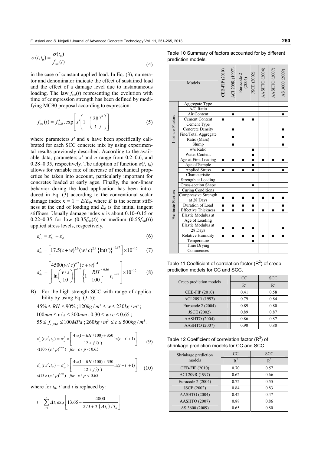$$
\sigma(t, t_0) = \frac{\sigma(t_0)}{f_{cm}(t)}
$$
\n(4)

in the case of constant applied load. In Eq. (3), numerator and denominator indicate the effect of sustained load and the effect of a damage level due to instantaneous loading. The law  $f_{cm}(t)$  representing the evolution with time of compression strength has been defined by modifying MC90 proposal according to expression:

$$
f_{cm}(t) = f'_{c,28}.\exp\left[s'\left(1-\left(\frac{28}{t}\right)^n\right)\right]
$$
 (5)

where parameters *s'* and *n* have been specifically calibrated for each SCC concrete mix by using experimental results previously described. According to the available data, parameters *s'* and *n* range from 0.2–0.6, and 0.28–0.35, respectively. The adoption of function  $\sigma(t, t_0)$ allows for variable rate of increase of mechanical properties be taken into account, particularly important for concretes loaded at early ages. Finally, the non-linear behavior during the load application has been introduced in Eq. (3) according to the conventional scalar damage index  $\kappa = 1 - E/E_0$ , where *E* is the secant stiffness at the end of loading and  $E_0$  is the initial tangent stiffness. Usually damage index  $\kappa$  is about 0.10–0.15 or 0.22–0.35 for low  $(0.35f_{cm}(t))$  or medium  $(0.55f_{cm}(t))$ applied stress levels, respectively.

$$
\varepsilon'_{cr} = \varepsilon'_{bc} + \varepsilon'_{dc} \tag{6}
$$

$$
\varepsilon'_{bc} = \left[17.5(c+w)^{2.0}(w/c)^{2.4}\left\{\ln(t')\right\}^{-0.67}\right] \times 10^{-10} \tag{7}
$$

$$
\varepsilon'_{dc} = \left[ \left( \ln \left( \frac{v/s}{10} \right) \right)^{-2.2} \left\{ 1 - \frac{RH}{100} \right\}^{0.36} t_0^{-0.30} \right] \times 10^{-10} \tag{8}
$$

- B) For the high strength SCC with range of applicability by using Eq. (3-5):
	- $45\% \le RH \le 90\%$ :  $120\text{kg}/\text{m}^3 \le W \le 230\text{kg}/\text{m}^3$ :  $100$  *mm*  $\le v / s \le 300$  *mm*;  $0.30 \le w / c \le 0.65$ ;  $55 \le f_{c, 28d} \le 100 MPa$ ;  $260 kg/m^3 \le c \le 500 kg/m^3$ .

$$
\varepsilon'_{\alpha}(t, t', t_0) = \sigma'_{\varphi} \times \left[ \frac{4w(1 - RH / 100) + 350}{12 + f'_{\epsilon}(t')} \ln(t - t' + 1) \right]
$$
(9)  
×(10×(c/p)<sup>0.678</sup>) for c/p < 0.65

$$
\varepsilon'_{\alpha}(t, t', t_0) = \sigma'_{\varphi} \times \left[ \frac{4w(1 - RH/100) + 350}{12 + f'_{\epsilon}(t')} \ln(t - t' + 1) \right]
$$
  
×(13×(c/p)<sup>0.001</sup>) for c/p < 0.65 (10)

where for  $t_0$ ,  $t'$  and  $t$  is replaced by:

$$
t = \sum_{i=1}^{n} \Delta t_i \exp \left[ 13.65 - \frac{4000}{273 + T(\Delta t_i) / T_0} \right]
$$

Table 10 Summary of factors accounted for by different prediction models.

|                   | Models                          | CEB-FIP (2010) | ACI 209R (1997) | Eurocode 2<br>$(2004)$ | JSCE (2002) | AASHTO (2004) | AASHTO (2007) | AS 3600 (2009) |
|-------------------|---------------------------------|----------------|-----------------|------------------------|-------------|---------------|---------------|----------------|
|                   | Aggregate Type                  |                |                 |                        |             |               |               |                |
|                   | A/C Ratio                       |                |                 |                        |             |               |               |                |
|                   | Air Content                     |                | п               |                        |             |               |               | п              |
|                   | Cement Content                  | ▪              |                 | ▪                      | ▪           |               |               |                |
|                   | Cement Type                     |                |                 |                        |             |               |               |                |
| Intrinsic Factors | <b>Concrete Density</b>         |                | п               |                        |             |               |               | П              |
|                   | Fine/Total Aggregate            |                |                 |                        |             |               |               |                |
|                   | Ratio (Mass)                    |                | ■               |                        |             |               |               | ▪              |
|                   | Slump                           |                | п               |                        |             |               |               | п              |
|                   | w/c Ratio                       |                |                 |                        | ■           |               |               |                |
|                   | <b>Water Content</b>            |                |                 |                        |             |               |               |                |
|                   | Age at First Loading            |                | п               | п                      |             | ▪             | ■             | П              |
|                   | Age of Sample                   |                |                 |                        |             |               |               |                |
|                   | <b>Applied Stress</b>           |                | ■               | ▪                      |             |               |               | п              |
|                   | Characteristic                  |                |                 |                        |             |               |               |                |
|                   | Strength at Loading             |                |                 |                        |             |               |               |                |
|                   | Cross-section Shape             |                |                 |                        | ■           |               |               |                |
|                   | <b>Curing Conditions</b>        |                |                 |                        |             |               |               |                |
|                   | Compressive Strength            | ▪              | ■               | ■                      | ■           | ■             | ▪             | ■              |
|                   | at 28 Days                      |                |                 |                        |             |               |               |                |
| Extrinsic Factors | Duration of Load                |                | Ξ               | ▪                      | ■           |               |               |                |
|                   | <b>Effective Thickness</b>      |                | п               | ▪                      | ■           | ▪             | ■             | п              |
|                   | <b>Elastic Modulus at</b>       |                |                 |                        |             |               |               |                |
|                   | Age of Loading                  |                |                 |                        |             |               |               |                |
|                   | Elastic Modulus at              | ■              | ■               | ■                      | ▬           |               |               | ▬              |
|                   | 28 Days                         |                |                 |                        |             |               |               |                |
|                   | <b>Relative Humidity</b>        | ▪              | $\blacksquare$  | ▪                      | ■           | ▪             | ■             | п              |
|                   | Temperature                     |                |                 |                        | ■           |               |               |                |
|                   | <b>Time Drying</b><br>Commences |                |                 |                        |             |               |               |                |

Table 11 Coefficient of correlation factor  $(R^2)$  of creep prediction models for CC and SCC.

| Creep prediction models | <sub>CC</sub> | <b>SCC</b> |
|-------------------------|---------------|------------|
|                         | $R^2$         | $R^2$      |
| CEB-FIP (2010)          | 0.41          | 0.58       |
| ACI 209R (1997)         | 0.79          | 0.84       |
| Eurocode 2 (2004)       | 0.89          | 0.80       |
| <b>JSCE (2002)</b>      | 0.89          | 0.87       |
| <b>AASHTO</b> (2004)    | 0.86          | 0.87       |
| <b>AASHTO</b> (2007)    | 0.90          | 0.80       |

Table 12 Coefficient of correlation factor  $(R^2)$  of shrinkage prediction models for CC and SCC.

| Shrinkage prediction | CC    | <b>SCC</b> |
|----------------------|-------|------------|
| models               | $R^2$ | $R^2$      |
| CEB-FIP (2010)       | 0.70  | 0.57       |
| ACI 209R (1997)      | 0.62  | 0.66       |
| Eurocode 2 (2004)    | 0.72  | 0.55       |
| <b>JSCE (2002)</b>   | 0.84  | 0.83       |
| <b>AASHTO</b> (2004) | 0.42  | 0.47       |
| <b>AASHTO</b> (2007) | 0.88  | 0.86       |
| AS 3600 (2009)       | 0.65  | 0.80       |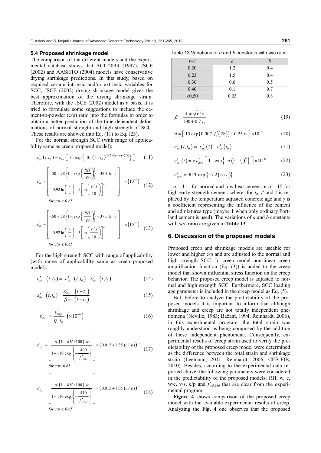#### **5.4 Proposed shrinkage model**

The comparison of the different models and the experimental database shows that ACI 209R (1997), JSCE (2002) and AASHTO (2004) models have conservative drying shrinkage predictions. In this study, based on required certain intrinsic and/or extrinsic variables for SCC, JSCE (2002) drying shrinkage model gives the best approximation of the drying shrinkage strain. Therefore, with the JSCE (2002) model as a basis, it is tried to formulate some suggestions to include the cement-to-powder (c/p) ratio into the formulas in order to obtain a better prediction of the time-dependent deformations of normal strength and high strength of SCC. These results are showed into Eq. (11) to Eq. (23).

For the normal strength SCC (with range of applicability same as creep proposed model):

$$
\varepsilon'_{cr}(t,t_0) = \varepsilon'_{sh} \left[ 1 - \exp\left\{-0.1\left(t - t_0\right) \frac{(-2.4(c/p) + 2.3)}{2}\right\} \right] \tag{11}
$$

$$
\varepsilon'_{sh} = \begin{bmatrix} -50 + 78 \left\{ 1 - \exp\left(\frac{RH}{100}\right) \right\} + 38.3 \ln w \\ -0.92 \ln \left(\frac{w}{c}\right) - 5 \left[ \ln \left(\frac{v/s}{10}\right) \right]^2 & \times (10^{-5}) \\ \text{for } \varepsilon / \varepsilon > 0.65 \end{bmatrix}
$$
 (12)

for 
$$
c/p \ge 0.65
$$

$$
\varepsilon'_{sh} = \begin{bmatrix} -50 + 78 \left\{ 1 - \exp\left(\frac{RH}{100}\right) \right\} + 37.5 \ln w \\ -0.92 \ln \left(\frac{w}{c}\right) - 5 \left[ \ln \left(\frac{v/s}{10}\right) \right]^2 \\ \text{for } c/p \ge 0.65 \end{bmatrix} \times (10^{-5}) \tag{13}
$$

For the high strength SCC with range of applicability (with range of applicability same as creep proposed model):

$$
\varepsilon'_{cs} \quad (t, t_0) = \varepsilon'_{ds} \quad (t, t_0) + \varepsilon'_{as} \quad (t, t_0)
$$
 (14)

$$
\varepsilon'_{ds} \quad (t, t_0) = \frac{\varepsilon'_{dso} \quad (t - t_0)}{\beta + \quad (t - t_0)}
$$
\n
$$
\tag{15}
$$

$$
\varepsilon_{dso}^{\prime} = \frac{\varepsilon_{ds\rho}^{\prime}}{\eta \ t_0} \ \left(\times 10^{-6}\right) \tag{16}
$$

$$
\varepsilon'_{\text{dsp}} = \left[ \frac{\alpha \left(1 - RH/100\right) w}{1 + 110 \exp\left\{-\frac{400}{f'_{c,28d}}\right\}} \right] \times \left(0.015 + 1.35 \left(c/p\right)\right)^{-1} \tag{17}
$$

*for c/p<0.65*

$$
\varepsilon_{\text{ds},p}' = \left[ \frac{\alpha \left(1 - RH/100\right) w}{1 + 110 \exp\left\{-\frac{410}{f_{c,28d}'}\right\}} \right] \times \left(0.015 + 1.05 \left(c/p\right)\right)^{-1} \tag{18}
$$

*for c/p*  $\geq 0.65$ 

Table 13 Variations of *a* and *b* constants with w/c ratio.

| w/c         | $\alpha$ |     |
|-------------|----------|-----|
| 0.20        | 1.2      | 0.4 |
| 0.23        | 1.5      | 0.4 |
| 0.30        | 0.6      | 0.5 |
| 0.40        | 0.1      | 0.7 |
| $\geq 0.50$ | 0.03     | 0.8 |

$$
\beta = \frac{4 \, w \, \sqrt{v/s}}{100 + 0.7 \, t_{\text{o}}} \tag{19}
$$

$$
\eta = [15 \exp(0.007 f_c'(28)) + 0.25 w] \times 10^{-4}
$$
 (20)

$$
\varepsilon'_{as}(t,t_0) = \varepsilon'_{as}(t) - \varepsilon'_{as}(t_0)
$$
\n(21)

$$
\varepsilon'_{as}(t) = \gamma \varepsilon'_{as\infty} \left[ 1 - \exp\left\{-a\left(t - t_s\right)^b\right\} \right] \times 10^{-6} \tag{22}
$$

$$
\varepsilon'_{\text{asom}} = 3070 \exp\left\{-7.2\left(w/c\right)\right\} \tag{23}
$$

 $\alpha = 11$  for normal and low heat cement or  $\alpha = 15$  for high early strength cement. where, for  $t_0$ ,  $t'$  and  $t$  is replaced by the temperature adjusted concrete age and *γ* is a coefficient representing the influence of the cement and admixtures type (maybe 1 when only ordinary Portland cement is used). The variations of *a* and *b* constants with w/c ratio are given in **Table 13**.

#### **6. Discussion of the proposed models**

Proposed creep and shrinkage models are useable for lower and higher c/p and are adjusted to the normal and high strength SCC. In creep model non-linear creep amplification function (Eq. (3)) is added to the creep model that shown influential stress function on the creep behavior. The proposed creep model is adjusted to normal and high strength SCC. Furthermore, SCC loading age parameter is included in the creep model as Eq. (5).

But, before to analyze the predictability of the proposed models it is important to inform that although shrinkage and creep are not totally independent phenomena (Neville, 1983; Bažant, 1994; Reinhardt, 2006), in this experimental program, the total strain was roughly understood as being composed by the addition of these independent phenomena. Consequently, experimental results of creep strain used to verify the predictability of the proposed creep model were determined as the difference between the total strain and shrinkage strain (Leemann, 2011, Reinhardt, 2006, CEB-FIB, 2010). Besides, according to the experimental data reported above, the following parameters were considered in the predictability of the proposed models: RH, w, c, w/c, v/s, c/p and *f'cd,28d* that are clear from the experimental program.

**Figure 4** shows comparison of the proposed creep model with the available experimental results of creep. Analyzing the **Fig. 4** one observes that the proposed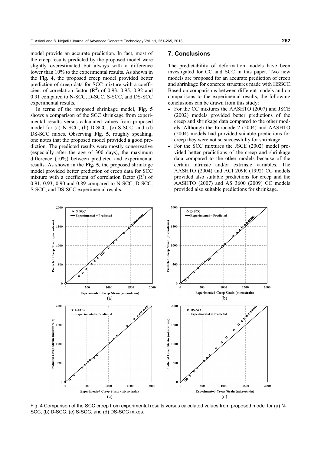model provide an accurate prediction. In fact, most of the creep results predicted by the proposed model were slightly overestimated but always with a difference lower than 10% to the experimental results. As shown in the **Fig. 4**, the proposed creep model provided better prediction of creep data for SCC mixture with a coefficient of correlation factor  $(R^2)$  of 0.93, 0.95, 0.92 and 0.91 compared to N-SCC, D-SCC, S-SCC, and DS-SCC experimental results.

In terms of the proposed shrinkage model, **Fig. 5** shows a comparison of the SCC shrinkage from experimental results versus calculated values from proposed model for (a) N-SCC, (b) D-SCC, (c) S-SCC, and (d) DS-SCC mixes. Observing **Fig. 5**, roughly speaking, one notes that the proposed model provided a good prediction. The predicted results were mostly conservative (especially after the age of 300 days), the maximum difference (10%) between predicted and experimental results. As shown in the **Fig. 5**, the proposed shrinkage model provided better prediction of creep data for SCC mixture with a coefficient of correlation factor  $(R^2)$  of 0.91, 0.93, 0.90 and 0.89 compared to N-SCC, D-SCC, S-SCC, and DS-SCC experimental results.

#### **7. Conclusions**

The predictability of deformation models have been investigated for CC and SCC in this paper. Two new models are proposed for an accurate prediction of creep and shrinkage for concrete structures made with HSSCC. Based on comparisons between different models and on comparisons to the experimental results, the following conclusions can be drawn from this study:

- For the CC mixtures the AASHTO (2007) and JSCE (2002) models provided better predictions of the creep and shrinkage data compared to the other models. Although the Eurocode 2 (2004) and AASHTO (2004) models had provided suitable predictions for creep they were not so successfully for shrinkage.
- For the SCC mixtures the JSCE (2002) model provided better predictions of the creep and shrinkage data compared to the other models because of the certain intrinsic and/or extrinsic variables. The AASHTO (2004) and ACI 209R (1992) CC models provided also suitable predictions for creep and the AASHTO (2007) and AS 3600 (2009) CC models provided also suitable predictions for shrinkage.



Fig. 4 Comparison of the SCC creep from experimental results versus calculated values from proposed model for (a) N-SCC, (b) D-SCC, (c) S-SCC, and (d) DS-SCC mixes.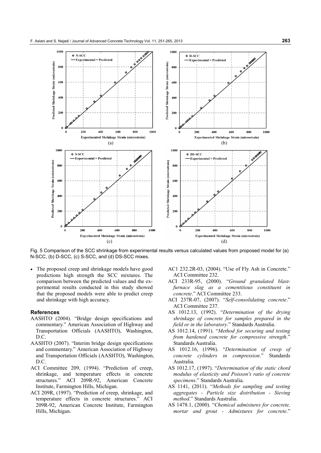

Fig. 5 Comparison of the SCC shrinkage from experimental results versus calculated values from proposed model for (a) N-SCC, (b) D-SCC, (c) S-SCC, and (d) DS-SCC mixes.

• The proposed creep and shrinkage models have good predictions high strength the SCC mixtures. The comparison between the predicted values and the experimental results conducted in this study showed that the proposed models were able to predict creep and shrinkage with high accuracy.

#### **References**

- AASHTO (2004). "Bridge design specifications and commentary." American Association of Highway and Transportation Officials (AASHTO), Washington, D.C.
- AASHTO (2007). "Interim bridge design specifications and commentary." American Association of Highway and Transportation Officials (AASHTO), Washington, D.C.
- ACI Committee 209, (1994). "Prediction of creep, shrinkage, and temperature effects in concrete structures." ACI 209R-92, American Concrete Institute, Farmington Hills, Michigan.
- ACI 209R, (1997). "Prediction of creep, shrinkage, and temperature effects in concrete structures." ACI 209R-92, American Concrete Institute, Farmington Hills, Michigan.
- AC1 232.2R-03, (2004). "Use of Fly Ash in Concrete." ACI Committee 232.
- ACI 233R-95, (2000). "*Ground granulated blastfurnace slag as a cementitious constituent in concrete*." ACI Committee 233.
- ACI 237R-07, (2007). "*Self-consolidating concrete*." ACI Committee 237.
- AS 1012.13, (1992). "*Determination of the drying shrinkage of concrete for samples prepared in the field or in the laboratory*." Standards Australia.
- AS 1012.14, (1991). "*Method for securing and testing from hardened concrete for compressive strength*." Standards Australia.
- AS 1012.16, (1996). "*Determination of creep of concrete cylinders in compression*." Standards Australia.
- AS 1012.17, (1997). "*Determination of the static chord modulus of elasticity and Poisson's ratio of concrete specimens*." Standards Australia.
- AS 1141, (2011). "*Methods for sampling and testing aggregates - Particle size distribution - Sieving method*." Standards Australia.
- AS 1478.1, (2000). "*Chemical admixtures for concrete, mortar and grout - Admixtures for concrete*."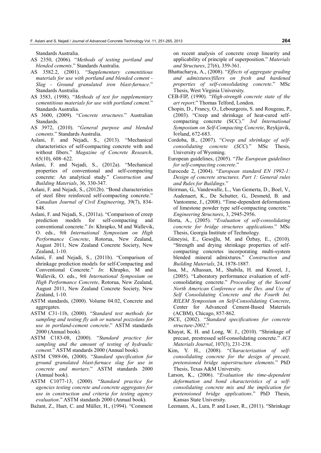Standards Australia.

- AS 2350, (2006). "*Methods of testing portland and blended cements*." Standards Australia.
- AS 3582.2, (2001). "*Supplementary cementitious materials for use with portland and blended cement - Slag - Ground granulated iron blast-furnace*." Standards Australia.
- AS 3583, (1998). "*Methods of test for supplementary cementitious materials for use with portland cement.*" Standards Australia.
- AS 3600, (2009). "*Concrete structures*." Australian Standards.
- AS 3972, (2010). "*General purpose and blended cements*." Standards Australia.
- Aslani, F. and Nejadi, S., (2013). "Mechanical characteristics of self-compacting concrete with and without fibers." *Magazine of Concrete Research*, 65(10), 608–622.
- Aslani, F. and Nejadi, S., (2012a). "Mechanical properties of conventional and self-compacting concrete: An analytical study." *Construction and Building Materials*, 36, 330-347.
- Aslani, F. and Nejadi, S., (2012b). "Bond characteristics of steel fibre reinforced self-compacting concrete." *Canadian Journal of Civil Engineering*, 39(7), 834- 848.
- Aslani, F. and Nejadi, S., (2011a). "Comparison of creep prediction models for self-compacting and conventional concrete." *In*: Khrapko, M and Wallevik, O. eds., *9th International Symposium on High Performance Concrete*, Rotorua, New Zealand, August 2011, New Zealand Concrete Society, New Zealand, 1-10.
- Aslani, F. and Nejadi, S., (2011b). "Comparison of shrinkage prediction models for self-Compacting and Conventional Concrete." *In*: Khrapko, M and Wallevik, O. eds., *9th International Symposium on High Performance Concrete*, Rotorua, New Zealand, August 2011, New Zealand Concrete Society, New Zealand, 1-10.
- ASTM standards, (2000). Volume 04.02, Concrete and aggregates.
- ASTM C31-11b, (2000). "*Standard test methods for sampling and testing fly ash or natural pozzolans for use in portland-cement concrete*." ASTM standards 2000 (Annual book).
- ASTM C183-08, (2000). "*Standard practice for sampling and the amount of testing of hydraulic cement*." ASTM standards 2000 (Annual book).
- ASTM C989-06, (2000). "*Standard specification for ground granulated blast-furnace slag for use in concrete and mortars*." ASTM standards 2000 (Annual book).
- ASTM C1077-13, (2000). "*Standard practice for agencies testing concrete and concrete aggregates for use in construction and criteria for testing agency evaluation*." ASTM standards 2000 (Annual book).

Bažant, Z., Huet, C. and Müller, H., (1994). "Comment

on recent analysis of concrete creep linearity and applicability of principle of superposition." *Materials and Structures*, 27(6), 359-361.

- Bhattacharya, A., (2008). "*Effects of aggregate grading and admixtures/fillers on fresh and hardened properties of self-consolidating concrete*." MSc Thesis, West Virginia University.
- CEB-FIP, (1990). "*High-strength concrete state of the art report*." Thomas Telford, London.
- Chopin, D., Francy, O., Lebourgeois, S. and Rougeau, P., (2003). "Creep and shrinkage of heat-cured selfcompacting concrete (SCC)." *3rd International Symposium on Self-Compacting Concrete*, Reykjavik, Iceland, 672-683.
- Cordoba, B., (2007). "*Creep and shrinkage of selfconsolidating concrete* (*SCC*)*.*" MSc Thesis, University of Wyoming.
- European guidelines, (2005). "*The European guidelines for self-compacting concrete*."
- Eurocode 2, (2004). "*European standard EN 1992-1: Design of concrete structures. Part 1: General rules and Rules for Buildings*."
- Heirman, G., Vandewalle, L., Van Gemerta, D., Boel, V., Audenaert, K., De Schutter, G., Desmetd, B. and Vantomme, J., (2008). "Time-dependent deformations of limestone powder type self-compacting concrete." *Engineering Structures*, 3, 2945-2956.
- Horta, A., (2005). "*Evaluation of self-consolidating concrete for bridge structures applications*." MSc Thesis, Georgia Institute of Technology.
- Güneyisi, E., Gesoğlu, M. and Özbay, E., (2010). "Strength and drying shrinkage properties of selfcompacting concretes incorporating multi-system blended mineral admixtures." *Construction and Building Materials*, 24, 1878-1887.
- Issa, M., Alhassan, M., Shabila, H. and Krozel, J., (2005). "Laboratory performance evaluation of selfconsolidating concrete." *Proceeding of the Second North American Conference on the Des. and Use of Self Consolidating Concrete and the Fourth Int. RILEM Symposium on Self-Consolidating Concrete*, Center for Advanced Cement-Based Materials (ACBM), Chicago, 857-862.
- JSCE, (2002). "*Standard specifications for concrete structure-2002*."
- Khayat, K. H. and Long, W. J., (2010). "Shrinkage of precast, prestressed self-consolidating concrete." *ACI Materials Journal*, 107(3), 231-238.
- Kim, Y. H., (2008). "*Characterization of selfconsolidating concrete for the design of precast, pretensioned bridge superstructure elements*." PhD Thesis, Texas A&M University.
- Larson, K., (2006). "*Evaluation the time-dependent deformation and bond characteristics of a selfconsolidating concrete mix and the implication for pretensioned bridge applications*." PhD Thesis, Kansas State University.
- Leemann, A., Lura, P. and Loser, R., (2011). "Shrinkage